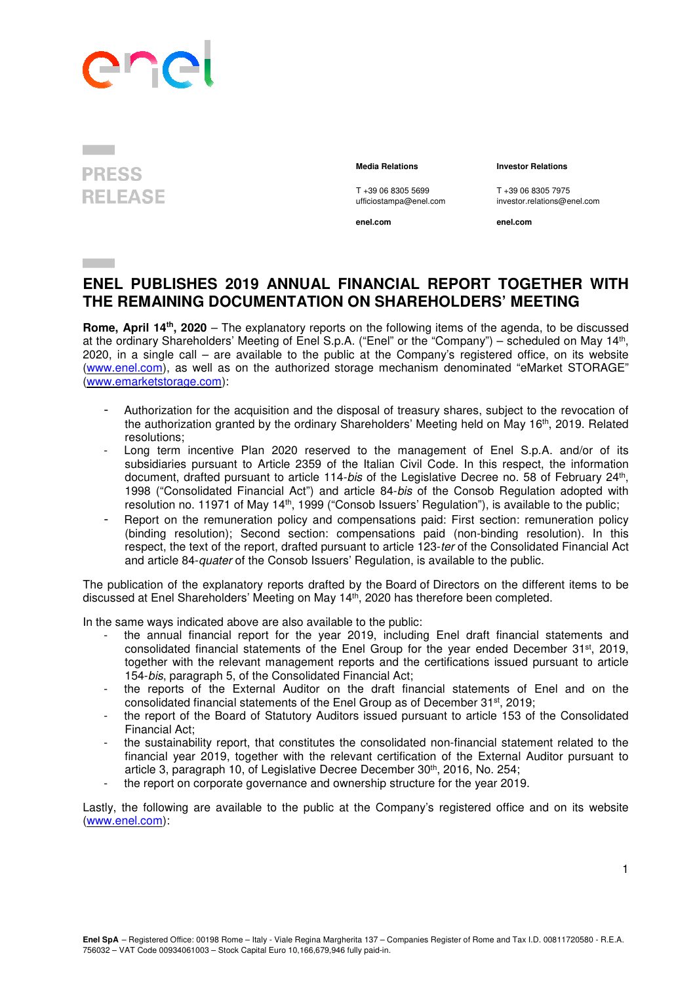

## **PRESS RELEASE**

## **Media Relations Investor Relations**

T +39 06 8305 5699 T +39 06 8305 7975<br>
ufficiostampa@enel.com investor.relations@e

**enel.com enel.com**

investor.relations@enel.com

## **ENEL PUBLISHES 2019 ANNUAL FINANCIAL REPORT TOGETHER WITH THE REMAINING DOCUMENTATION ON SHAREHOLDERS' MEETING**

**Rome, April 14th, 2020** – The explanatory reports on the following items of the agenda, to be discussed at the ordinary Shareholders' Meeting of Enel S.p.A. ("Enel" or the "Company") – scheduled on May 14th , 2020, in a single call – are available to the public at the Company's registered office, on its website (www.enel.com), as well as on the authorized storage mechanism denominated "eMarket STORAGE" (www.emarketstorage.com):

- Authorization for the acquisition and the disposal of treasury shares, subject to the revocation of the authorization granted by the ordinary Shareholders' Meeting held on May 16<sup>th</sup>, 2019. Related resolutions;
- Long term incentive Plan 2020 reserved to the management of Enel S.p.A. and/or of its subsidiaries pursuant to Article 2359 of the Italian Civil Code. In this respect, the information document, drafted pursuant to article 114-bis of the Legislative Decree no. 58 of February 24<sup>th</sup>, 1998 ("Consolidated Financial Act") and article 84-bis of the Consob Regulation adopted with resolution no. 11971 of May 14<sup>th</sup>, 1999 ("Consob Issuers' Regulation"), is available to the public;
- Report on the remuneration policy and compensations paid: First section: remuneration policy (binding resolution); Second section: compensations paid (non-binding resolution). In this respect, the text of the report, drafted pursuant to article 123-ter of the Consolidated Financial Act and article 84-quater of the Consob Issuers' Regulation, is available to the public.

The publication of the explanatory reports drafted by the Board of Directors on the different items to be discussed at Enel Shareholders' Meeting on May 14th, 2020 has therefore been completed.

In the same ways indicated above are also available to the public:

- the annual financial report for the year 2019, including Enel draft financial statements and consolidated financial statements of the Enel Group for the year ended December 31st, 2019, together with the relevant management reports and the certifications issued pursuant to article 154-bis, paragraph 5, of the Consolidated Financial Act;
- the reports of the External Auditor on the draft financial statements of Enel and on the consolidated financial statements of the Enel Group as of December 31st, 2019;
- the report of the Board of Statutory Auditors issued pursuant to article 153 of the Consolidated Financial Act;
- the sustainability report, that constitutes the consolidated non-financial statement related to the financial year 2019, together with the relevant certification of the External Auditor pursuant to article 3, paragraph 10, of Legislative Decree December 30th, 2016, No. 254;
- the report on corporate governance and ownership structure for the year 2019.

Lastly, the following are available to the public at the Company's registered office and on its website (www.enel.com):